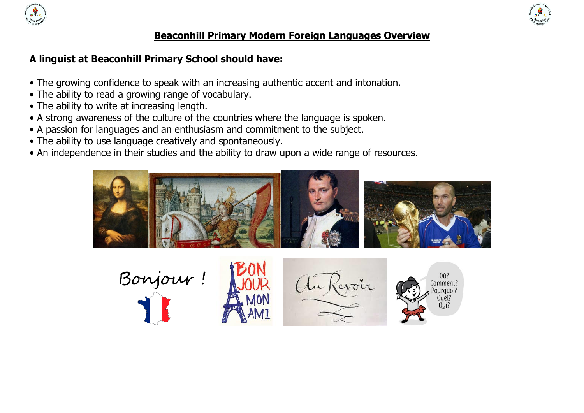



### **Beaconhill Primary Modern Foreign Languages Overview**

# **A linguist at Beaconhill Primary School should have:**

- The growing confidence to speak with an increasing authentic accent and intonation.
- The ability to read a growing range of vocabulary.
- The ability to write at increasing length.
- A strong awareness of the culture of the countries where the language is spoken.
- A passion for languages and an enthusiasm and commitment to the subject.
- The ability to use language creatively and spontaneously.
- An independence in their studies and the ability to draw upon a wide range of resources.



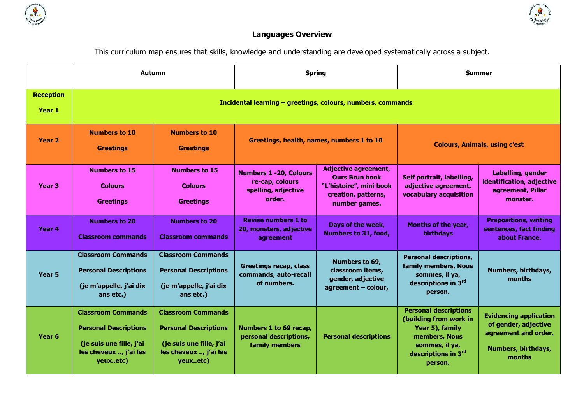



# **Languages Overview**

This curriculum map ensures that skills, knowledge and understanding are developed systematically across a subject.

|                            | <b>Autumn</b>                                                                                                               |                                                                                                                             | <b>Spring</b>                                                                     |                                                                                                                         | <b>Summer</b>                                                                                                                                  |                                                                                                                |
|----------------------------|-----------------------------------------------------------------------------------------------------------------------------|-----------------------------------------------------------------------------------------------------------------------------|-----------------------------------------------------------------------------------|-------------------------------------------------------------------------------------------------------------------------|------------------------------------------------------------------------------------------------------------------------------------------------|----------------------------------------------------------------------------------------------------------------|
| <b>Reception</b><br>Year 1 | Incidental learning - greetings, colours, numbers, commands                                                                 |                                                                                                                             |                                                                                   |                                                                                                                         |                                                                                                                                                |                                                                                                                |
| Year <sub>2</sub>          | <b>Numbers to 10</b><br><b>Greetings</b>                                                                                    | <b>Numbers to 10</b><br><b>Greetings</b>                                                                                    | Greetings, health, names, numbers 1 to 10                                         |                                                                                                                         | <b>Colours, Animals, using c'est</b>                                                                                                           |                                                                                                                |
| Year <sub>3</sub>          | <b>Numbers to 15</b><br><b>Colours</b><br><b>Greetings</b>                                                                  | <b>Numbers to 15</b><br><b>Colours</b><br><b>Greetings</b>                                                                  | <b>Numbers 1 -20, Colours</b><br>re-cap, colours<br>spelling, adjective<br>order. | <b>Adjective agreement,</b><br><b>Ours Brun book</b><br>"L'histoire", mini book<br>creation, patterns,<br>number games. | Self portrait, labelling,<br>adjective agreement,<br>vocabulary acquisition                                                                    | Labelling, gender<br>identification, adjective<br>agreement, Pillar<br>monster.                                |
| Year 4                     | <b>Numbers to 20</b><br><b>Classroom commands</b>                                                                           | <b>Numbers to 20</b><br><b>Classroom commands</b>                                                                           | <b>Revise numbers 1 to</b><br>20, monsters, adjective<br>agreement                | Days of the week,<br>Numbers to 31, food,                                                                               | <b>Months of the year,</b><br>birthdays                                                                                                        | <b>Prepositions, writing</b><br>sentences, fact finding<br>about France.                                       |
| Year 5                     | <b>Classroom Commands</b><br><b>Personal Descriptions</b><br>(je m'appelle, j'ai dix<br>ans etc.)                           | <b>Classroom Commands</b><br><b>Personal Descriptions</b><br>(je m'appelle, j'ai dix<br>ans etc.)                           | <b>Greetings recap, class</b><br>commands, auto-recall<br>of numbers.             | Numbers to 69,<br>classroom items,<br>gender, adjective<br>agreement - colour,                                          | <b>Personal descriptions,</b><br>family members, Nous<br>sommes, il ya,<br>descriptions in 3rd<br>person.                                      | Numbers, birthdays,<br>months                                                                                  |
| Year <sub>6</sub>          | <b>Classroom Commands</b><br><b>Personal Descriptions</b><br>(je suis une fille, j'ai<br>les cheveux , j'ai les<br>yeuxetc) | <b>Classroom Commands</b><br><b>Personal Descriptions</b><br>(je suis une fille, j'ai<br>les cheveux , j'ai les<br>yeuxetc) | Numbers 1 to 69 recap,<br>personal descriptions,<br>family members                | <b>Personal descriptions</b>                                                                                            | <b>Personal descriptions</b><br>(building from work in<br>Year 5), family<br>members, Nous<br>sommes, il ya,<br>descriptions in 3rd<br>person. | <b>Evidencing application</b><br>of gender, adjective<br>agreement and order.<br>Numbers, birthdays,<br>months |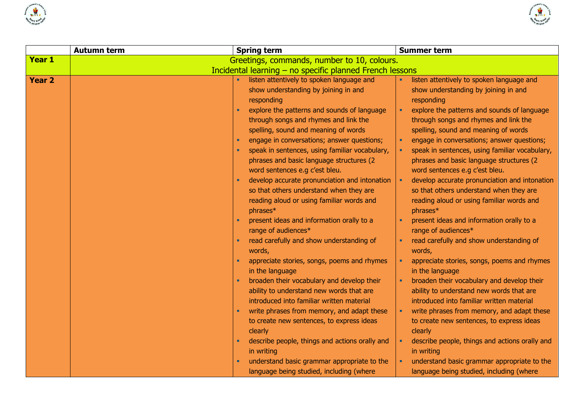



|               | <b>Autumn term</b> | <b>Spring term</b>                                       | <b>Summer term</b>                             |
|---------------|--------------------|----------------------------------------------------------|------------------------------------------------|
| Year 1        |                    | Greetings, commands, number to 10, colours.              |                                                |
|               |                    | Incidental learning - no specific planned French lessons |                                                |
| <b>Year 2</b> |                    | listen attentively to spoken language and                | listen attentively to spoken language and      |
|               |                    | show understanding by joining in and                     | show understanding by joining in and           |
|               |                    | responding                                               | responding                                     |
|               |                    | explore the patterns and sounds of language              | explore the patterns and sounds of language    |
|               |                    | through songs and rhymes and link the                    | through songs and rhymes and link the          |
|               |                    | spelling, sound and meaning of words                     | spelling, sound and meaning of words           |
|               |                    | engage in conversations; answer questions;               | engage in conversations; answer questions;     |
|               |                    | speak in sentences, using familiar vocabulary,           | speak in sentences, using familiar vocabulary, |
|               |                    | phrases and basic language structures (2                 | phrases and basic language structures (2       |
|               |                    | word sentences e.g c'est bleu.                           | word sentences e.g c'est bleu.                 |
|               |                    | develop accurate pronunciation and intonation            | develop accurate pronunciation and intonation  |
|               |                    | so that others understand when they are                  | so that others understand when they are        |
|               |                    | reading aloud or using familiar words and                | reading aloud or using familiar words and      |
|               |                    | phrases*                                                 | phrases*                                       |
|               |                    | present ideas and information orally to a                | present ideas and information orally to a      |
|               |                    | range of audiences*                                      | range of audiences*                            |
|               |                    | read carefully and show understanding of                 | read carefully and show understanding of       |
|               |                    | words,                                                   | words,                                         |
|               |                    | appreciate stories, songs, poems and rhymes              | appreciate stories, songs, poems and rhymes    |
|               |                    | in the language                                          | in the language                                |
|               |                    | broaden their vocabulary and develop their               | broaden their vocabulary and develop their     |
|               |                    | ability to understand new words that are                 | ability to understand new words that are       |
|               |                    | introduced into familiar written material                | introduced into familiar written material      |
|               |                    | write phrases from memory, and adapt these               | write phrases from memory, and adapt these     |
|               |                    | to create new sentences, to express ideas                | to create new sentences, to express ideas      |
|               |                    | clearly                                                  | clearly                                        |
|               |                    | describe people, things and actions orally and           | describe people, things and actions orally and |
|               |                    | in writing                                               | in writing                                     |
|               |                    | understand basic grammar appropriate to the              | understand basic grammar appropriate to the    |
|               |                    | language being studied, including (where                 | language being studied, including (where       |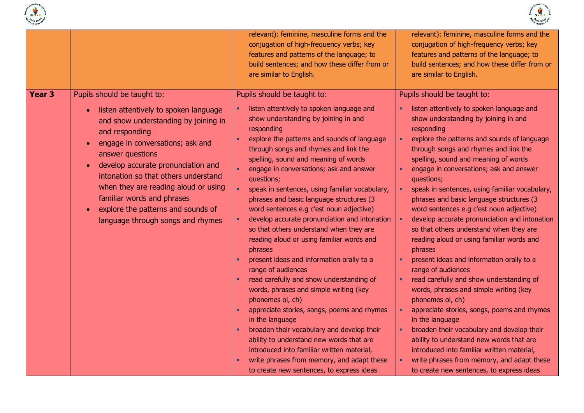



|                   |                                                                                                                                                                                                                                                                                                                                                                                                                                                                           | relevant): feminine, masculine forms and the<br>conjugation of high-frequency verbs; key<br>features and patterns of the language; to<br>build sentences; and how these differ from or<br>are similar to English.                                                                                                                                                                                                                                                                                                                                                                                                                                                                                                                                                                                                                                                                                                                                                                                                                                                                                       | relevant): feminine, masculine forms and the<br>conjugation of high-frequency verbs; key<br>features and patterns of the language; to<br>build sentences; and how these differ from or<br>are similar to English.                                                                                                                                                                                                                                                                                                                                                                                                                                                                                                                                                                                                                                                                                                                                                                                                                                                                                       |
|-------------------|---------------------------------------------------------------------------------------------------------------------------------------------------------------------------------------------------------------------------------------------------------------------------------------------------------------------------------------------------------------------------------------------------------------------------------------------------------------------------|---------------------------------------------------------------------------------------------------------------------------------------------------------------------------------------------------------------------------------------------------------------------------------------------------------------------------------------------------------------------------------------------------------------------------------------------------------------------------------------------------------------------------------------------------------------------------------------------------------------------------------------------------------------------------------------------------------------------------------------------------------------------------------------------------------------------------------------------------------------------------------------------------------------------------------------------------------------------------------------------------------------------------------------------------------------------------------------------------------|---------------------------------------------------------------------------------------------------------------------------------------------------------------------------------------------------------------------------------------------------------------------------------------------------------------------------------------------------------------------------------------------------------------------------------------------------------------------------------------------------------------------------------------------------------------------------------------------------------------------------------------------------------------------------------------------------------------------------------------------------------------------------------------------------------------------------------------------------------------------------------------------------------------------------------------------------------------------------------------------------------------------------------------------------------------------------------------------------------|
| Year <sub>3</sub> | Pupils should be taught to:<br>listen attentively to spoken language<br>$\bullet$<br>and show understanding by joining in<br>and responding<br>engage in conversations; ask and<br>$\bullet$<br>answer questions<br>develop accurate pronunciation and<br>$\bullet$<br>intonation so that others understand<br>when they are reading aloud or using<br>familiar words and phrases<br>explore the patterns and sounds of<br>$\bullet$<br>language through songs and rhymes | Pupils should be taught to:<br>listen attentively to spoken language and<br>show understanding by joining in and<br>responding<br>explore the patterns and sounds of language<br>through songs and rhymes and link the<br>spelling, sound and meaning of words<br>engage in conversations; ask and answer<br>questions;<br>speak in sentences, using familiar vocabulary,<br>phrases and basic language structures (3<br>word sentences e.g c'est noun adjective)<br>develop accurate pronunciation and intonation<br>so that others understand when they are<br>reading aloud or using familiar words and<br>phrases<br>present ideas and information orally to a<br>range of audiences<br>read carefully and show understanding of<br>words, phrases and simple writing (key<br>phonemes oi, ch)<br>appreciate stories, songs, poems and rhymes<br>in the language<br>broaden their vocabulary and develop their<br>ability to understand new words that are<br>introduced into familiar written material,<br>write phrases from memory, and adapt these<br>to create new sentences, to express ideas | Pupils should be taught to:<br>listen attentively to spoken language and<br>show understanding by joining in and<br>responding<br>explore the patterns and sounds of language<br>through songs and rhymes and link the<br>spelling, sound and meaning of words<br>engage in conversations; ask and answer<br>questions;<br>speak in sentences, using familiar vocabulary,<br>phrases and basic language structures (3<br>word sentences e.g c'est noun adjective)<br>develop accurate pronunciation and intonation<br>so that others understand when they are<br>reading aloud or using familiar words and<br>phrases<br>present ideas and information orally to a<br>range of audiences<br>read carefully and show understanding of<br>words, phrases and simple writing (key<br>phonemes oi, ch)<br>appreciate stories, songs, poems and rhymes<br>in the language<br>broaden their vocabulary and develop their<br>ability to understand new words that are<br>introduced into familiar written material,<br>write phrases from memory, and adapt these<br>to create new sentences, to express ideas |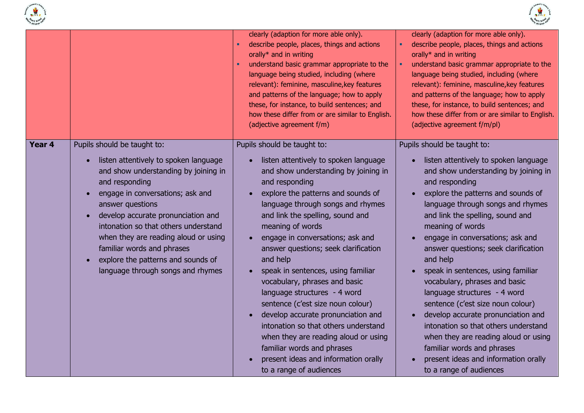



|        |                                                                                                                                                                                                                                                                                                                                                                                                                       | clearly (adaption for more able only).<br>describe people, places, things and actions<br>orally* and in writing<br>understand basic grammar appropriate to the<br>language being studied, including (where<br>relevant): feminine, masculine, key features<br>and patterns of the language; how to apply<br>these, for instance, to build sentences; and<br>how these differ from or are similar to English.<br>(adjective agreement f/m)                                                                                                                                                                                                                                                                                    | clearly (adaption for more able only).<br>describe people, places, things and actions<br>orally* and in writing<br>understand basic grammar appropriate to the<br>language being studied, including (where<br>relevant): feminine, masculine, key features<br>and patterns of the language; how to apply<br>these, for instance, to build sentences; and<br>how these differ from or are similar to English.<br>(adjective agreement f/m/pl)                                                                                                                                                                                                                                                                                 |
|--------|-----------------------------------------------------------------------------------------------------------------------------------------------------------------------------------------------------------------------------------------------------------------------------------------------------------------------------------------------------------------------------------------------------------------------|------------------------------------------------------------------------------------------------------------------------------------------------------------------------------------------------------------------------------------------------------------------------------------------------------------------------------------------------------------------------------------------------------------------------------------------------------------------------------------------------------------------------------------------------------------------------------------------------------------------------------------------------------------------------------------------------------------------------------|------------------------------------------------------------------------------------------------------------------------------------------------------------------------------------------------------------------------------------------------------------------------------------------------------------------------------------------------------------------------------------------------------------------------------------------------------------------------------------------------------------------------------------------------------------------------------------------------------------------------------------------------------------------------------------------------------------------------------|
| Year 4 | Pupils should be taught to:<br>listen attentively to spoken language<br>and show understanding by joining in<br>and responding<br>engage in conversations; ask and<br>answer questions<br>develop accurate pronunciation and<br>intonation so that others understand<br>when they are reading aloud or using<br>familiar words and phrases<br>explore the patterns and sounds of<br>language through songs and rhymes | Pupils should be taught to:<br>listen attentively to spoken language<br>and show understanding by joining in<br>and responding<br>explore the patterns and sounds of<br>language through songs and rhymes<br>and link the spelling, sound and<br>meaning of words<br>engage in conversations; ask and<br>answer questions; seek clarification<br>and help<br>speak in sentences, using familiar<br>vocabulary, phrases and basic<br>language structures - 4 word<br>sentence (c'est size noun colour)<br>develop accurate pronunciation and<br>intonation so that others understand<br>when they are reading aloud or using<br>familiar words and phrases<br>present ideas and information orally<br>to a range of audiences | Pupils should be taught to:<br>listen attentively to spoken language<br>and show understanding by joining in<br>and responding<br>explore the patterns and sounds of<br>language through songs and rhymes<br>and link the spelling, sound and<br>meaning of words<br>engage in conversations; ask and<br>answer questions; seek clarification<br>and help<br>speak in sentences, using familiar<br>vocabulary, phrases and basic<br>language structures - 4 word<br>sentence (c'est size noun colour)<br>develop accurate pronunciation and<br>intonation so that others understand<br>when they are reading aloud or using<br>familiar words and phrases<br>present ideas and information orally<br>to a range of audiences |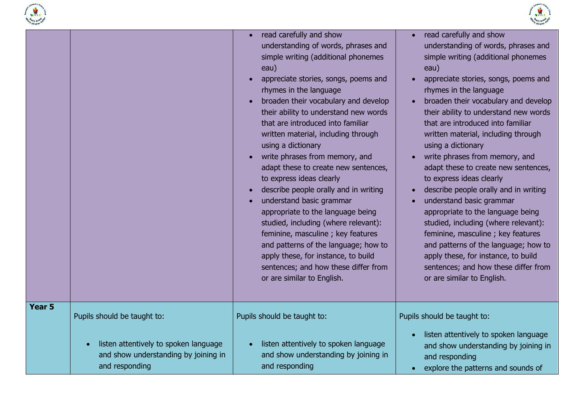



|                   |                                                                                                 | read carefully and show<br>understanding of words, phrases and<br>simple writing (additional phonemes<br>eau)<br>appreciate stories, songs, poems and<br>rhymes in the language<br>broaden their vocabulary and develop<br>their ability to understand new words<br>that are introduced into familiar<br>written material, including through<br>using a dictionary<br>write phrases from memory, and<br>adapt these to create new sentences,<br>to express ideas clearly<br>describe people orally and in writing<br>understand basic grammar<br>appropriate to the language being<br>studied, including (where relevant):<br>feminine, masculine ; key features<br>and patterns of the language; how to<br>apply these, for instance, to build<br>sentences; and how these differ from<br>or are similar to English. | read carefully and show<br>$\bullet$<br>understanding of words, phrases and<br>simple writing (additional phonemes<br>eau)<br>appreciate stories, songs, poems and<br>rhymes in the language<br>broaden their vocabulary and develop<br>$\bullet$<br>their ability to understand new words<br>that are introduced into familiar<br>written material, including through<br>using a dictionary<br>write phrases from memory, and<br>$\bullet$<br>adapt these to create new sentences,<br>to express ideas clearly<br>describe people orally and in writing<br>understand basic grammar<br>appropriate to the language being<br>studied, including (where relevant):<br>feminine, masculine ; key features<br>and patterns of the language; how to<br>apply these, for instance, to build<br>sentences; and how these differ from<br>or are similar to English. |
|-------------------|-------------------------------------------------------------------------------------------------|-----------------------------------------------------------------------------------------------------------------------------------------------------------------------------------------------------------------------------------------------------------------------------------------------------------------------------------------------------------------------------------------------------------------------------------------------------------------------------------------------------------------------------------------------------------------------------------------------------------------------------------------------------------------------------------------------------------------------------------------------------------------------------------------------------------------------|--------------------------------------------------------------------------------------------------------------------------------------------------------------------------------------------------------------------------------------------------------------------------------------------------------------------------------------------------------------------------------------------------------------------------------------------------------------------------------------------------------------------------------------------------------------------------------------------------------------------------------------------------------------------------------------------------------------------------------------------------------------------------------------------------------------------------------------------------------------|
| Year <sub>5</sub> | Pupils should be taught to:                                                                     | Pupils should be taught to:                                                                                                                                                                                                                                                                                                                                                                                                                                                                                                                                                                                                                                                                                                                                                                                           | Pupils should be taught to:                                                                                                                                                                                                                                                                                                                                                                                                                                                                                                                                                                                                                                                                                                                                                                                                                                  |
|                   | listen attentively to spoken language<br>and show understanding by joining in<br>and responding | listen attentively to spoken language<br>and show understanding by joining in<br>and responding                                                                                                                                                                                                                                                                                                                                                                                                                                                                                                                                                                                                                                                                                                                       | listen attentively to spoken language<br>and show understanding by joining in<br>and responding<br>explore the patterns and sounds of                                                                                                                                                                                                                                                                                                                                                                                                                                                                                                                                                                                                                                                                                                                        |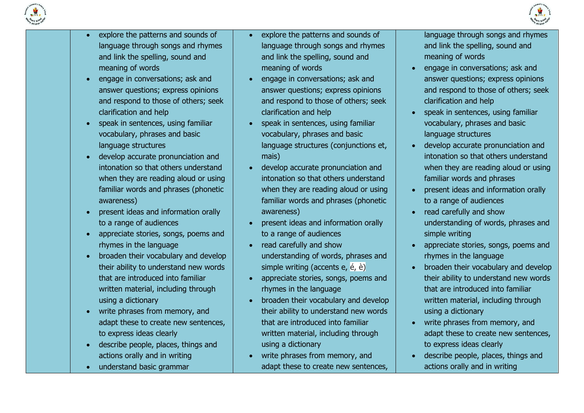



- explore the patterns and sounds of language through songs and rhymes and link the spelling, sound and meaning of words
- engage in conversations; ask and answer questions; express opinions and respond to those of others; seek clarification and help
- speak in sentences, using familiar vocabulary, phrases and basic language structures
- develop accurate pronunciation and intonation so that others understand when they are reading aloud or using familiar words and phrases (phonetic awareness)
- present ideas and information orally to a range of audiences
- appreciate stories, songs, poems and rhymes in the language
- broaden their vocabulary and develop their ability to understand new words that are introduced into familiar written material, including through using a dictionary
- write phrases from memory, and adapt these to create new sentences, to express ideas clearly
- describe people, places, things and actions orally and in writing
- understand basic grammar
- explore the patterns and sounds of language through songs and rhymes and link the spelling, sound and meaning of words
- engage in conversations; ask and answer questions; express opinions and respond to those of others; seek clarification and help
- speak in sentences, using familiar vocabulary, phrases and basic language structures (conjunctions et, mais)
- develop accurate pronunciation and intonation so that others understand when they are reading aloud or using familiar words and phrases (phonetic awareness)
- present ideas and information orally to a range of audiences
- read carefully and show understanding of words, phrases and simple writing (accents e, é, è)
- appreciate stories, songs, poems and rhymes in the language
- broaden their vocabulary and develop their ability to understand new words that are introduced into familiar written material, including through using a dictionary
- write phrases from memory, and adapt these to create new sentences,

language through songs and rhymes and link the spelling, sound and meaning of words

- engage in conversations; ask and answer questions; express opinions and respond to those of others; seek clarification and help
- speak in sentences, using familiar vocabulary, phrases and basic language structures
- develop accurate pronunciation and intonation so that others understand when they are reading aloud or using familiar words and phrases
- present ideas and information orally to a range of audiences
- read carefully and show understanding of words, phrases and simple writing
- appreciate stories, songs, poems and rhymes in the language
- broaden their vocabulary and develop their ability to understand new words that are introduced into familiar written material, including through using a dictionary
- write phrases from memory, and adapt these to create new sentences, to express ideas clearly
- describe people, places, things and actions orally and in writing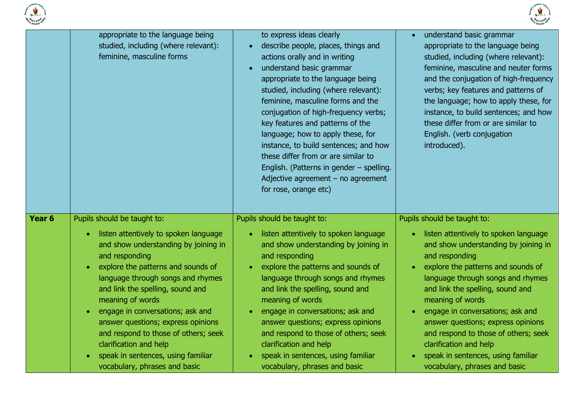



|        | appropriate to the language being<br>studied, including (where relevant):<br>feminine, masculine forms                                                                                                                                                                                                                                                                                                                                                                                            | to express ideas clearly<br>describe people, places, things and<br>actions orally and in writing<br>understand basic grammar<br>$\bullet$<br>appropriate to the language being<br>studied, including (where relevant):<br>feminine, masculine forms and the<br>conjugation of high-frequency verbs;<br>key features and patterns of the<br>language; how to apply these, for<br>instance, to build sentences; and how<br>these differ from or are similar to<br>English. (Patterns in gender - spelling.<br>Adjective agreement $-$ no agreement<br>for rose, orange etc) | understand basic grammar<br>$\bullet$<br>appropriate to the language being<br>studied, including (where relevant):<br>feminine, masculine and neuter forms<br>and the conjugation of high-frequency<br>verbs; key features and patterns of<br>the language; how to apply these, for<br>instance, to build sentences; and how<br>these differ from or are similar to<br>English. (verb conjugation<br>introduced).                                                                                                                        |  |
|--------|---------------------------------------------------------------------------------------------------------------------------------------------------------------------------------------------------------------------------------------------------------------------------------------------------------------------------------------------------------------------------------------------------------------------------------------------------------------------------------------------------|---------------------------------------------------------------------------------------------------------------------------------------------------------------------------------------------------------------------------------------------------------------------------------------------------------------------------------------------------------------------------------------------------------------------------------------------------------------------------------------------------------------------------------------------------------------------------|------------------------------------------------------------------------------------------------------------------------------------------------------------------------------------------------------------------------------------------------------------------------------------------------------------------------------------------------------------------------------------------------------------------------------------------------------------------------------------------------------------------------------------------|--|
| Year 6 | Pupils should be taught to:<br>listen attentively to spoken language<br>and show understanding by joining in<br>and responding<br>explore the patterns and sounds of<br>$\bullet$<br>language through songs and rhymes<br>and link the spelling, sound and<br>meaning of words<br>engage in conversations; ask and<br>answer questions; express opinions<br>and respond to those of others; seek<br>clarification and help<br>speak in sentences, using familiar<br>vocabulary, phrases and basic | Pupils should be taught to:<br>listen attentively to spoken language<br>and show understanding by joining in<br>and responding<br>explore the patterns and sounds of<br>language through songs and rhymes<br>and link the spelling, sound and<br>meaning of words<br>engage in conversations; ask and<br>answer questions; express opinions<br>and respond to those of others; seek<br>clarification and help<br>speak in sentences, using familiar<br>vocabulary, phrases and basic                                                                                      | Pupils should be taught to:<br>listen attentively to spoken language<br>$\bullet$<br>and show understanding by joining in<br>and responding<br>explore the patterns and sounds of<br>$\bullet$<br>language through songs and rhymes<br>and link the spelling, sound and<br>meaning of words<br>engage in conversations; ask and<br>$\bullet$<br>answer questions; express opinions<br>and respond to those of others; seek<br>clarification and help<br>speak in sentences, using familiar<br>$\bullet$<br>vocabulary, phrases and basic |  |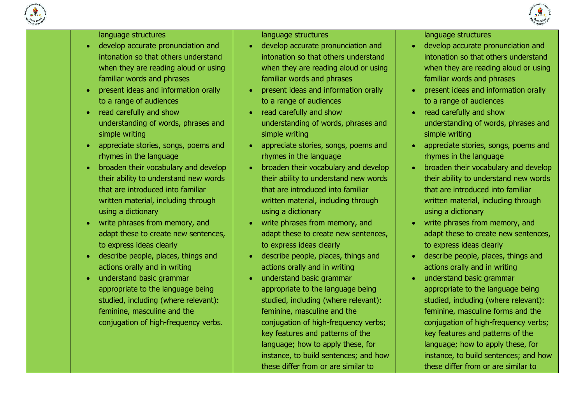



#### language structures

- develop accurate pronunciation and intonation so that others understand when they are reading aloud or using familiar words and phrases
- present ideas and information orally to a range of audiences
- read carefully and show understanding of words, phrases and simple writing
- appreciate stories, songs, poems and rhymes in the language
- broaden their vocabulary and develop their ability to understand new words that are introduced into familiar written material, including through using a dictionary
- write phrases from memory, and adapt these to create new sentences, to express ideas clearly
- describe people, places, things and actions orally and in writing
- understand basic grammar appropriate to the language being studied, including (where relevant): feminine, masculine and the conjugation of high-frequency verbs.

language structures

- develop accurate pronunciation and intonation so that others understand when they are reading aloud or using familiar words and phrases
- present ideas and information orally to a range of audiences
- read carefully and show understanding of words, phrases and simple writing
- appreciate stories, songs, poems and rhymes in the language
- broaden their vocabulary and develop their ability to understand new words that are introduced into familiar written material, including through using a dictionary
- write phrases from memory, and adapt these to create new sentences, to express ideas clearly
- describe people, places, things and actions orally and in writing
- understand basic grammar appropriate to the language being studied, including (where relevant): feminine, masculine and the conjugation of high-frequency verbs; key features and patterns of the language; how to apply these, for instance, to build sentences; and how these differ from or are similar to

language structures

- develop accurate pronunciation and intonation so that others understand when they are reading aloud or using familiar words and phrases
- present ideas and information orally to a range of audiences
- read carefully and show understanding of words, phrases and simple writing
- appreciate stories, songs, poems and rhymes in the language
- broaden their vocabulary and develop their ability to understand new words that are introduced into familiar written material, including through using a dictionary
- write phrases from memory, and adapt these to create new sentences, to express ideas clearly
- describe people, places, things and actions orally and in writing
- understand basic grammar appropriate to the language being studied, including (where relevant): feminine, masculine forms and the conjugation of high-frequency verbs; key features and patterns of the language; how to apply these, for instance, to build sentences; and how these differ from or are similar to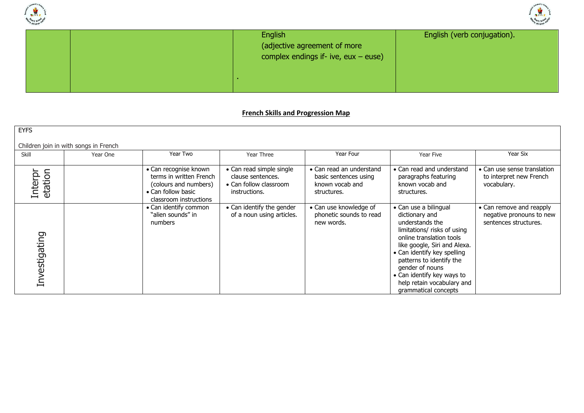



|  | English<br>(adjective agreement of more<br>complex endings if- ive, $eux - euse$ ) | English (verb conjugation). |
|--|------------------------------------------------------------------------------------|-----------------------------|
|  |                                                                                    |                             |

#### **French Skills and Progression Map**

| <b>EYFS</b>        |                                       |                                                                                                                           |                                                                                          |                                                                                     |                                                                                                                                                                                                                                                                                                                         |                                                                               |  |  |  |
|--------------------|---------------------------------------|---------------------------------------------------------------------------------------------------------------------------|------------------------------------------------------------------------------------------|-------------------------------------------------------------------------------------|-------------------------------------------------------------------------------------------------------------------------------------------------------------------------------------------------------------------------------------------------------------------------------------------------------------------------|-------------------------------------------------------------------------------|--|--|--|
|                    | Children join in with songs in French |                                                                                                                           |                                                                                          |                                                                                     |                                                                                                                                                                                                                                                                                                                         |                                                                               |  |  |  |
| Skill              | Year One                              | Year Two                                                                                                                  | Year Three                                                                               | Year Four                                                                           | Year Five                                                                                                                                                                                                                                                                                                               | Year Six                                                                      |  |  |  |
| etation<br>Interpr |                                       | • Can recognise known<br>terms in written French<br>(colours and numbers)<br>• Can follow basic<br>classroom instructions | • Can read simple single<br>clause sentences.<br>• Can follow classroom<br>instructions. | • Can read an understand<br>basic sentences using<br>known vocab and<br>structures. | • Can read and understand<br>paragraphs featuring<br>known vocab and<br>structures.                                                                                                                                                                                                                                     | • Can use sense translation<br>to interpret new French<br>vocabulary.         |  |  |  |
| Investigating      |                                       | • Can identify common<br>"alien sounds" in<br>numbers                                                                     | • Can identify the gender<br>of a noun using articles.                                   | • Can use knowledge of<br>phonetic sounds to read<br>new words.                     | • Can use a bilingual<br>dictionary and<br>understands the<br>limitations/ risks of using<br>online translation tools<br>like google, Siri and Alexa.<br>• Can identify key spelling<br>patterns to identify the<br>gender of nouns<br>• Can identify key ways to<br>help retain vocabulary and<br>grammatical concepts | • Can remove and reapply<br>negative pronouns to new<br>sentences structures. |  |  |  |